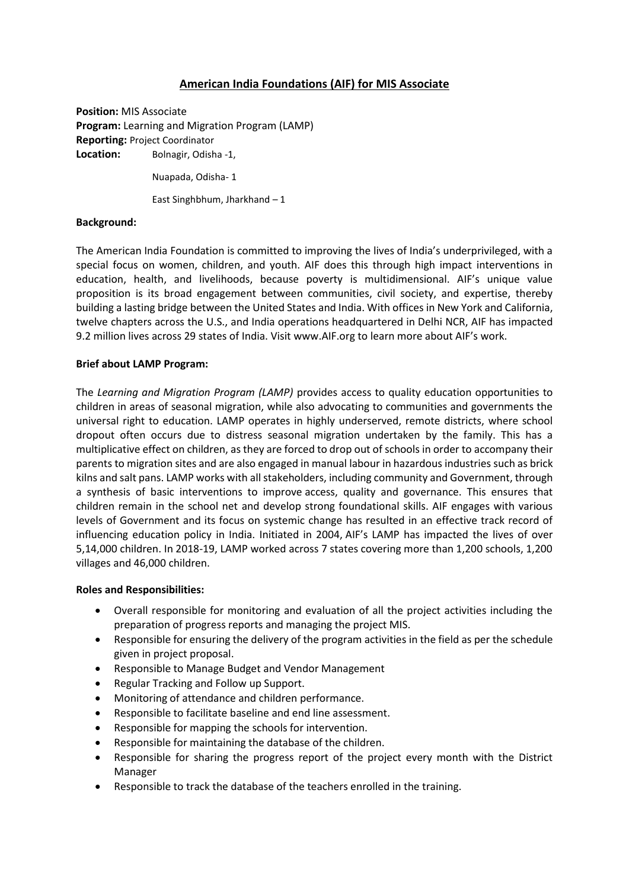# **American India Foundations (AIF) for MIS Associate**

**Position:** MIS Associate **Program:** Learning and Migration Program (LAMP) **Reporting:** Project Coordinator **Location:** Bolnagir, Odisha -1,

Nuapada, Odisha- 1

East Singhbhum, Jharkhand – 1

#### **Background:**

The American India Foundation is committed to improving the lives of India's underprivileged, with a special focus on women, children, and youth. AIF does this through high impact interventions in education, health, and livelihoods, because poverty is multidimensional. AIF's unique value proposition is its broad engagement between communities, civil society, and expertise, thereby building a lasting bridge between the United States and India. With offices in New York and California, twelve chapters across the U.S., and India operations headquartered in Delhi NCR, AIF has impacted 9.2 million lives across 29 states of India. Visit [www.AIF.org](http://www.aif.org/) to learn more about AIF's work.

#### **Brief about LAMP Program:**

The *Learning and Migration Program (LAMP)* provides access to quality education opportunities to children in areas of seasonal migration, while also advocating to communities and governments the universal right to education. LAMP operates in highly underserved, remote districts, where school dropout often occurs due to distress seasonal migration undertaken by the family. This has a multiplicative effect on children, as they are forced to drop out of schools in order to accompany their parents to migration sites and are also engaged in manual labour in hazardous industries such as brick kilns and salt pans. LAMP works with all stakeholders, including community and Government, through a synthesis of basic interventions to improve access, quality and governance. This ensures that children remain in the school net and develop strong foundational skills. AIF engages with various levels of Government and its focus on systemic change has resulted in an effective track record of influencing education policy in India. Initiated in 2004, AIF's LAMP has impacted the lives of over 5,14,000 children. In 2018-19, LAMP worked across 7 states covering more than 1,200 schools, 1,200 villages and 46,000 children.

#### **Roles and Responsibilities:**

- Overall responsible for monitoring and evaluation of all the project activities including the preparation of progress reports and managing the project MIS.
- Responsible for ensuring the delivery of the program activities in the field as per the schedule given in project proposal.
- Responsible to Manage Budget and Vendor Management
- Regular Tracking and Follow up Support.
- Monitoring of attendance and children performance.
- Responsible to facilitate baseline and end line assessment.
- Responsible for mapping the schools for intervention.
- Responsible for maintaining the database of the children.
- Responsible for sharing the progress report of the project every month with the District Manager
- Responsible to track the database of the teachers enrolled in the training.